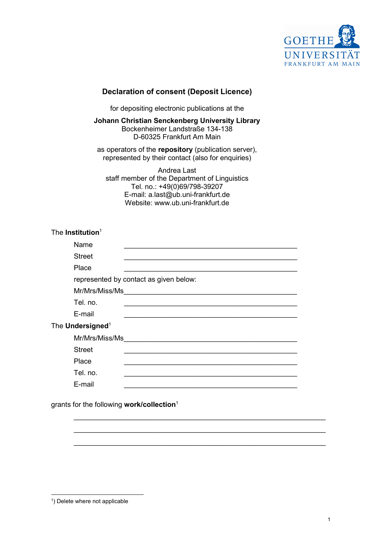

## Declaration of consent (Deposit Licence)

for depositing electronic publications at the

Johann Christian Senckenberg University Library Bockenheimer Landstraße 134-138 D-60325 Frankfurt Am Main

as operators of the repository (publication server), represented by their contact (also for enquiries)

Andrea Last staff member of the Department of Linguistics Tel. no.: +49(0)69/798-39207 E-mail: a.last@ub.uni-frankfurt.de Website: www.ub.uni-frankfurt.de

## The Institution $^1$

| Name                         |                                        |
|------------------------------|----------------------------------------|
| <b>Street</b>                |                                        |
| Place                        |                                        |
|                              | represented by contact as given below: |
|                              |                                        |
| Tel. no.                     |                                        |
| E-mail                       |                                        |
| The Undersigned <sup>1</sup> |                                        |
| Mr/Mrs/Miss/Ms               |                                        |
| <b>Street</b>                |                                        |
| Place                        |                                        |
| Tel. no.                     |                                        |
| E-mail                       |                                        |

 $\_$  , and the set of the set of the set of the set of the set of the set of the set of the set of the set of the set of the set of the set of the set of the set of the set of the set of the set of the set of the set of th  $\_$  , and the set of the set of the set of the set of the set of the set of the set of the set of the set of the set of the set of the set of the set of the set of the set of the set of the set of the set of the set of th

 $\_$  , and the contribution of the contribution of  $\mathcal{L}_\mathcal{A}$  , and the contribution of  $\mathcal{L}_\mathcal{A}$ 

grants for the following work/collection<sup>1</sup>

<sup>&</sup>lt;sup>1</sup>) Delete where not applicable